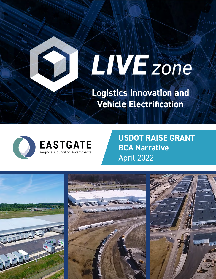# **ENVERGING**

**Logistics Innovation and Vehicle Electrification**



**USDOT RAISE GRANT BCA Narrative** April 2022

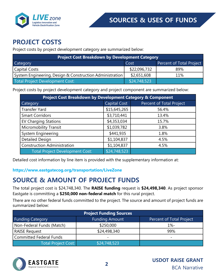

#### **PROJECT COSTS**

Project costs by project development category are summarized below:

| <b>Project Cost Breakdown by Development Category</b>    |              |                          |  |  |
|----------------------------------------------------------|--------------|--------------------------|--|--|
| Category                                                 | <b>Cost</b>  | Percent of Total Project |  |  |
| <b>Capital Costs</b>                                     | \$22,096,732 | 89%                      |  |  |
| System Engineering, Design & Construction Administration | \$2,651,608  | 11%                      |  |  |
| Total Project Development Cost:                          | \$24,748,523 |                          |  |  |

Project costs by project development category and project component are summarized below:

| <b>Project Cost Breakdown by Development Category &amp; Component</b> |                     |                          |  |  |
|-----------------------------------------------------------------------|---------------------|--------------------------|--|--|
| Category                                                              | <b>Capital Cost</b> | Percent of Total Project |  |  |
| Transfer Yard                                                         | \$15,645,265        | 56.4%                    |  |  |
| <b>Smart Corridors</b>                                                | \$3,710,441         | 13.4%                    |  |  |
| <b>EV Charging Stations</b>                                           | \$4,353,034         | 15.7%                    |  |  |
| <b>Micromobility Transit</b>                                          | \$1,039,782         | 3.8%                     |  |  |
| System Engineering                                                    | \$441,935           | 1.8%                     |  |  |
| <b>Detailed Design</b>                                                | \$1,104,837         | 4.5%                     |  |  |
| <b>Construction Administration</b>                                    | \$1,104,837         | 4.5%                     |  |  |
| <b>Total Project Development Cost:</b>                                | \$24,748,523        |                          |  |  |

Detailed cost information by line item is provided with the supplementary information at:

#### **https://www.eastgatecog.org/transportation/LiveZone**

#### **SOURCE & AMOUNT OF PROJECT FUNDS**

The total project cost is \$24,748,340. The **RAISE funding** request is **\$24,498,340**. As project sponsor Eastgate is committing a **\$250,000 non-federal match** for this rural project.

There are no other federal funds committed to the project. The source and amount of project funds are summarized below:

| <b>Project Funding Sources</b> |                       |                          |  |  |
|--------------------------------|-----------------------|--------------------------|--|--|
| <b>Funding Category</b>        | <b>Funding Amount</b> | Percent of Total Project |  |  |
| Non-Federal Funds (Match)      | \$250,000             | $1% -$                   |  |  |
| <b>RAISE Request</b>           | \$24,498,340          | 99%                      |  |  |
| <b>Committed Federal Funds</b> |                       |                          |  |  |
| Total Project Cost:            | \$24,748,523          |                          |  |  |

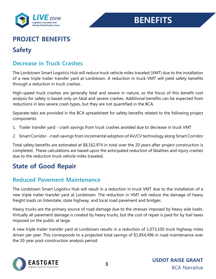

## **BENEFITS**

## **PROJECT BENEFITS**

## **Safety**

#### **Decrease in Truck Crashes**

The Lordstown Smart Logistics Hub will reduce truck vehicle miles traveled (VMT) due to the installation of a new triple trailer transfer yard at Lordstown. A reduction in truck VMT will yield safety benefits through a reduction in truck crashes.

High-speed truck crashes are generally fatal and severe in nature, so the focus of this benefit cost analysis for safety is based only on fatal and severe crashes. Additional benefits can be expected from reductions in less severe crash types, but they are not quantified in the BCA.

Separate tabs are provided in the BCA spreadsheet for safety benefits related to the following project components:

- 1. Trailer transfer yard crash savings from truck crashes avoided due to decrease in truck VMT
- 2. Smart Corridor crash savings from incremental adoption of AV/CV technology along Smart Corridor

Total safety benefits are estimated at \$8,162,974 in total over the 20 years after project construction is completed. These calculations are based upon the anticipated reduction of fatalities and injury crashes due to the reduction truck vehicle miles traveled.

## **State of Good Repair**

#### **Reduced Pavement Maintenance**

The Lordstown Smart Logistics Hub will result in a reduction in truck VMT due to the installation of a new triple trailer transfer yard at Lordstown. The reduction in VMT will reduce the damage of heavy freight loads on Interstate, state highway, and local road pavement and bridges.

Heavy trucks are the primary source of road damage due to the stresses imposed by heavy axle loads. Virtually all pavement damage is created by heavy trucks, but the cost of repair is paid for by fuel taxes imposed on the public at large.

A new triple trailer transfer yard at Lordstown results in a reduction of 1,073,100 truck highway miles driven per year. This corresponds to a projected total savings of \$1,854,496 in road maintenance over the 20-year post-construction analysis period.

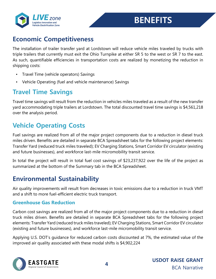

#### **Economic Competitiveness**

The installation of trailer transfer yard at Lordstown will reduce vehicle miles traveled by trucks with triple trailers that currently must exit the Ohio Turnpike at either SR 5 to the west or SR 7 to the east. As such, quantifiable efficiencies in transportation costs are realized by monetizing the reduction in shipping costs:

- Travel Time (vehicle operators) Savings
- Vehicle Operating (fuel and vehicle maintenance) Savings

## **Travel Time Savings**

Travel time savings will result from the reduction in vehicles miles traveled as a result of the new transfer yard accommodating triple trailers at Lordstown. The total discounted travel time savings is \$4,561,218 over the analysis period.

#### **Vehicle Operating Costs**

Fuel savings are realized from all of the major project components due to a reduction in diesel truck miles driven. Benefits are detailed in separate BCA Spreadsheet tabs for the following project elements: Transfer Yard (reduced truck miles traveled); EV Charging Stations, Smart Corridor EV circulator (existing and future businesses), and workforce last-mile micromobility transit service.

In total the project will result in total fuel cost savings of \$23,237,922 over the life of the project as summarized at the bottom of the Summary tab in the BCA Spreadsheet.

#### **Environmental Sustainability**

Air quality improvements will result from decreases in toxic emissions due to a reduction in truck VMT and a shift to more fuel-efficient electric truck transport.

#### **Greenhouse Gas Reduction**

Carbon cost savings are realized from all of the major project components due to a reduction in diesel truck miles driven. Benefits are detailed in separate BCA Spreadsheet tabs for the following project elements: Transfer Yard (reduced truck miles traveled); EV Charging Stations, Smart Corridor EV circulator (existing and future businesses), and workforce last-mile micromobility transit service.

Applying U.S. DOT's guidance for reduced carbon costs discounted at 7%, the estimated value of the improved air quality associated with these modal shifts is \$4,902,224

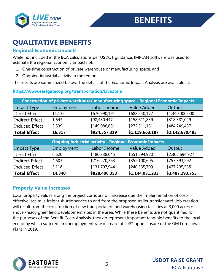

## **QUALITATIVE BENEFITS**

#### **Regional Economic Impacts**

While not included in the BCA calculations per USDOT guidance, IMPLAN software was used to estimate the regional Economic Impacts of:

- 1. One-time construction of private warehouse or manufacturing space, and
- 2. Ongoing industrial activity in the region.

The results are summarized below. The details of the Economic Impact Analysis are available at:

#### **https://www.eastgatecog.org/transportation/LiveZone**

| <b>Construction of private warehouse/ manufacturing space - Regional Economic Impacts</b> |            |               |                    |                 |
|-------------------------------------------------------------------------------------------|------------|---------------|--------------------|-----------------|
| Impact Type                                                                               | Employment | Labor Income  | <b>Value Added</b> | Output          |
| <b>Direct Effect</b>                                                                      | 11,135     | \$676,990,191 | \$688,540,177      | \$1,340,000,000 |
| <b>Indirect Effect</b>                                                                    | 1,643      | \$98,480,447  | \$158,611,859      | \$318,381,049   |
| Induced Effect                                                                            | 3,539      | \$149,086,681 | \$272,511,151      | \$484,249,437   |
| <b>Total Effect</b>                                                                       | 16,317     | \$924,557,319 | \$1,119,663,187    | \$2,142,630,485 |

|                        | <b>Ongoing industrial activity - Regional Economic Impacts</b> |               |                    |                 |  |
|------------------------|----------------------------------------------------------------|---------------|--------------------|-----------------|--|
| Impact Type            | Employment                                                     | Labor Income  | <b>Value Added</b> | Output          |  |
| <b>Direct Effect</b>   | 6,620                                                          | \$480,338,045 | \$551,594,920      | \$2,302,694,927 |  |
| <b>Indirect Effect</b> | 4,603                                                          | \$216,270,363 | \$352,100,605      | \$757,393,292   |  |
| Induced Effect         | 3,118                                                          | \$131,797,944 | \$240,335,709      | \$427,205,535   |  |
| <b>Total Effect</b>    | 14,340                                                         | \$828,406,353 | \$1,144,031,233    | \$3,487,293,755 |  |

#### **Property Value Increases**

Local property values along the project corridors will increase due the implementation of costeffective last-mile freight shuttle service to and from the proposed trailer transfer yard. Job creation will result from the construction of new transportation and warehousing facilities at 3,000 acres of shovel-ready greenfield development sites in the area. While these benefits are not quantified for the purposes of the Benefit Costs Analysis, they do represent important tangible benefits to the local economy which suffered an unemployment rate increase of 4.4% upon closure of the GM Lordstown Plant in 2019.